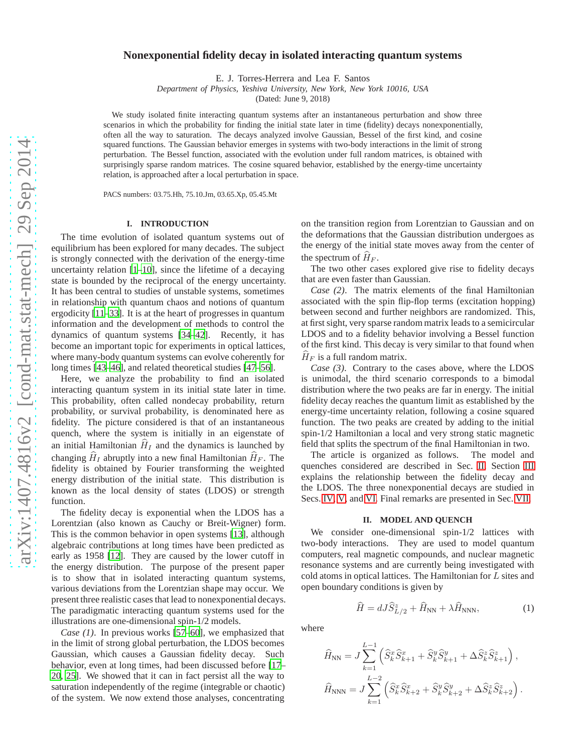# **Nonexponential fidelity decay in isolated interacting quantum systems**

E. J. Torres-Herrera and Lea F. Santos

*Department of Physics, Yeshiva University, New York, New York 10016, USA*

(Dated: June 9, 2018)

We study isolated finite interacting quantum systems after an instantaneous perturbation and show three scenarios in which the probability for finding the initial state later in time (fidelity) decays nonexponentially, often all the way to saturation. The decays analyzed involve Gaussian, Bessel of the first kind, and cosine squared functions. The Gaussian behavior emerges in systems with two-body interactions in the limit of strong perturbation. The Bessel function, associated with the evolution under full random matrices, is obtained with surprisingly sparse random matrices. The cosine squared behavior, established by the energy-time uncertainty relation, is approached after a local perturbation in space.

PACS numbers: 03.75.Hh, 75.10.Jm, 03.65.Xp, 05.45.Mt

## **I. INTRODUCTION**

The time evolution of isolated quantum systems out of equilibrium has been explored for many decades. The subject is strongly connected with the derivation of the energy-time uncertainty relation  $[1–10]$  $[1–10]$ , since the lifetime of a decaying state is bounded by the reciprocal of the energy uncertainty. It has been central to studies of unstable systems, sometimes in relationship with quantum chaos and notions of quantum ergodicity [\[11](#page-7-2)[–33\]](#page-7-3). It is at the heart of progresses in quantum information and the development of methods to control the dynamics of quantum systems [\[34](#page-7-4)[–42\]](#page-7-5). Recently, it has become an important topic for experiments in optical lattices, where many-body quantum systems can evolve coherently for long times [\[43](#page-7-6)[–46\]](#page-8-0), and related theoretical studies [\[47](#page-8-1)[–56](#page-8-2)].

Here, we analyze the probability to find an isolated interacting quantum system in its initial state later in time. This probability, often called nondecay probability, return probability, or survival probability, is denominated here as fidelity. The picture considered is that of an instantaneous quench, where the system is initially in an eigenstate of an initial Hamiltonian  $\hat{H}_I$  and the dynamics is launched by changing  $\hat{H}_I$  abruptly into a new final Hamiltonian  $\hat{H}_F$ . The fidelity is obtained by Fourier transforming the weighted energy distribution of the initial state. This distribution is known as the local density of states (LDOS) or strength function.

The fidelity decay is exponential when the LDOS has a Lorentzian (also known as Cauchy or Breit-Wigner) form. This is the common behavior in open systems [\[13](#page-7-7)], although algebraic contributions at long times have been predicted as early as 1958 [\[12](#page-7-8)]. They are caused by the lower cutoff in the energy distribution. The purpose of the present paper is to show that in isolated interacting quantum systems, various deviations from the Lorentzian shape may occur. We present three realistic cases that lead to nonexponential decays. The paradigmatic interacting quantum systems used for the illustrations are one-dimensional spin-1/2 models.

*Case (1)*. In previous works [\[57](#page-8-3)[–60](#page-8-4)], we emphasized that in the limit of strong global perturbation, the LDOS becomes Gaussian, which causes a Gaussian fidelity decay. Such behavior, even at long times, had been discussed before [\[17–](#page-7-9) [20,](#page-7-10) [25\]](#page-7-11). We showed that it can in fact persist all the way to saturation independently of the regime (integrable or chaotic) of the system. We now extend those analyses, concentrating on the transition region from Lorentzian to Gaussian and on the deformations that the Gaussian distribution undergoes as the energy of the initial state moves away from the center of the spectrum of  $H_F$ .

The two other cases explored give rise to fidelity decays that are even faster than Gaussian.

*Case (2)*. The matrix elements of the final Hamiltonian associated with the spin flip-flop terms (excitation hopping) between second and further neighbors are randomized. This, at first sight, very sparse random matrix leads to a semicircular LDOS and to a fidelity behavior involving a Bessel function of the first kind. This decay is very similar to that found when  $H_F$  is a full random matrix.

*Case (3)*. Contrary to the cases above, where the LDOS is unimodal, the third scenario corresponds to a bimodal distribution where the two peaks are far in energy. The initial fidelity decay reaches the quantum limit as established by the energy-time uncertainty relation, following a cosine squared function. The two peaks are created by adding to the initial spin-1/2 Hamiltonian a local and very strong static magnetic field that splits the spectrum of the final Hamiltonian in two.

The article is organized as follows. The model and quenches considered are described in Sec. [II.](#page-0-0) Section [III](#page-1-0) explains the relationship between the fidelity decay and the LDOS. The three nonexponential decays are studied in Secs. [IV,](#page-2-0) [V,](#page-5-0) and [VI.](#page-6-0) Final remarks are presented in Sec. [VII.](#page-6-1)

#### **II. MODEL AND QUENCH**

<span id="page-0-0"></span>We consider one-dimensional spin-1/2 lattices with two-body interactions. They are used to model quantum computers, real magnetic compounds, and nuclear magnetic resonance systems and are currently being investigated with cold atoms in optical lattices. The Hamiltonian for L sites and open boundary conditions is given by

<span id="page-0-1"></span>
$$
\widehat{H} = dJ\widehat{S}_{L/2}^z + \widehat{H}_{\rm NN} + \lambda \widehat{H}_{\rm NNN},\tag{1}
$$

where

$$
\widehat{H}_{\text{NN}} = J \sum_{k=1}^{L-1} \left( \widehat{S}_k^x \widehat{S}_{k+1}^x + \widehat{S}_k^y \widehat{S}_{k+1}^y + \Delta \widehat{S}_k^z \widehat{S}_{k+1}^z \right),
$$
  

$$
\widehat{H}_{\text{NNN}} = J \sum_{k=1}^{L-2} \left( \widehat{S}_k^x \widehat{S}_{k+2}^x + \widehat{S}_k^y \widehat{S}_{k+2}^y + \Delta \widehat{S}_k^z \widehat{S}_{k+2}^z \right).
$$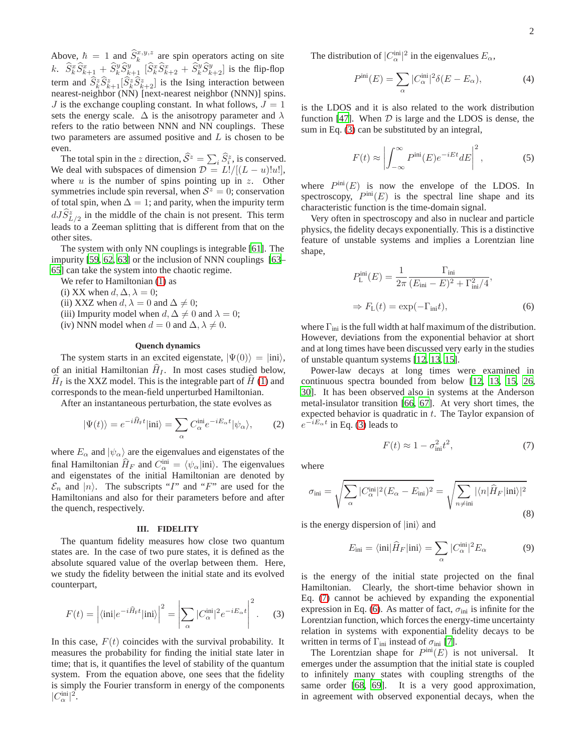Above,  $\hbar = 1$  and  $\hat{S}_k^{x,y,z}$  are spin operators acting on site k.  $\hat{S}_k^x \hat{S}_{k+1}^x + \hat{S}_k^y \hat{S}_{k+1}^y [\hat{S}_k^x \hat{S}_{k+2}^x + \hat{S}_k^y \hat{S}_{k+2}^y]$  is the flip-flop term and  $\hat{S}_k^z \hat{S}_{k+1}^z [\hat{S}_k^z \hat{S}_{k+2}^z]$  is the Ising interaction between nearest-neighbor (NN) [next-nearest neighbor (NNN)] spins.  $J$  is the exchange coupling constant. In what follows,  $J = 1$ sets the energy scale.  $\Delta$  is the anisotropy parameter and  $\lambda$ refers to the ratio between NNN and NN couplings. These two parameters are assumed positive and L is chosen to be even.

The total spin in the z direction,  $\widehat{S}^z = \sum_i \widehat{S}_i^z$ , is conserved. We deal with subspaces of dimension  $\mathcal{D} = L!/[(L - u)!u!]$ , where  $u$  is the number of spins pointing up in  $z$ . Other symmetries include spin reversal, when  $S^z = 0$ ; conservation of total spin, when  $\Delta = 1$ ; and parity, when the impurity term  $dJ\hat{S}_{L/2}^{z}$  in the middle of the chain is not present. This term leads to a Zeeman splitting that is different from that on the other sites.

The system with only NN couplings is integrable [\[61\]](#page-8-5). The impurity [\[59](#page-8-6), [62,](#page-8-7) [63\]](#page-8-8) or the inclusion of NNN couplings [\[63–](#page-8-8) [65\]](#page-8-9) can take the system into the chaotic regime.

We refer to Hamiltonian [\(1\)](#page-0-1) as

(i) XX when  $d, \Delta, \lambda = 0$ ;

(ii) XXZ when  $d, \lambda = 0$  and  $\Delta \neq 0$ ;

(iii) Impurity model when  $d, \Delta \neq 0$  and  $\lambda = 0$ ;

(iv) NNN model when  $d = 0$  and  $\Delta$ ,  $\lambda \neq 0$ .

### **Quench dynamics**

The system starts in an excited eigenstate,  $|\Psi(0)\rangle = |ini\rangle$ , of an initial Hamiltonian  $\hat{H}_I$ . In most cases studied below,  $H_I$  is the XXZ model. This is the integrable part of  $H(1)$  $H(1)$  and corresponds to the mean-field unperturbed Hamiltonian.

After an instantaneous perturbation, the state evolves as

$$
|\Psi(t)\rangle = e^{-i\hat{H}_{\rm F}t}|\text{ini}\rangle = \sum_{\alpha} C_{\alpha}^{\text{ini}} e^{-iE_{\alpha}t}|\psi_{\alpha}\rangle, \qquad (2)
$$

where  $E_{\alpha}$  and  $|\psi_{\alpha}\rangle$  are the eigenvalues and eigenstates of the final Hamiltonian  $\hat{H}_F$  and  $C^{\text{ini}}_{\alpha} = \langle \psi_{\alpha} | \text{ini} \rangle$ . The eigenvalues and eigenstates of the initial Hamiltonian are denoted by  $\mathcal{E}_n$  and  $|n\rangle$ . The subscripts "I" and "F" are used for the Hamiltonians and also for their parameters before and after the quench, respectively.

#### **III. FIDELITY**

<span id="page-1-0"></span>The quantum fidelity measures how close two quantum states are. In the case of two pure states, it is defined as the absolute squared value of the overlap between them. Here, we study the fidelity between the initial state and its evolved counterpart,

<span id="page-1-1"></span>
$$
F(t) = \left| \langle \text{ini}|e^{-i\hat{H}_{\text{F}}t}|\text{ini}\rangle \right|^2 = \left| \sum_{\alpha} |C_{\alpha}^{\text{ini}}|^2 e^{-iE_{\alpha}t} \right|^2. \tag{3}
$$

In this case,  $F(t)$  coincides with the survival probability. It measures the probability for finding the initial state later in time; that is, it quantifies the level of stability of the quantum system. From the equation above, one sees that the fidelity is simply the Fourier transform in energy of the components  $|C_{\alpha}^{\text{ini}}|^2.$ 

The distribution of  $|C_{\alpha}^{\text{ini}}|^2$  in the eigenvalues  $E_{\alpha}$ ,

$$
P^{\text{ini}}(E) = \sum_{\alpha} |C_{\alpha}^{\text{ini}}|^2 \delta(E - E_{\alpha}), \tag{4}
$$

is the LDOS and it is also related to the work distribution function [\[47\]](#page-8-1). When  $D$  is large and the LDOS is dense, the sum in Eq. [\(3\)](#page-1-1) can be substituted by an integral,

$$
F(t) \approx \left| \int_{-\infty}^{\infty} P^{\text{ini}}(E) e^{-iEt} dE \right|^2, \tag{5}
$$

where  $P^{\text{ini}}(E)$  is now the envelope of the LDOS. In spectroscopy,  $P^{\text{ini}}(E)$  is the spectral line shape and its characteristic function is the time-domain signal.

Very often in spectroscopy and also in nuclear and particle physics, the fidelity decays exponentially. This is a distinctive feature of unstable systems and implies a Lorentzian line shape,

<span id="page-1-3"></span>
$$
P_{\text{L}}^{\text{ini}}(E) = \frac{1}{2\pi} \frac{\Gamma_{\text{ini}}}{(E_{\text{ini}} - E)^2 + \Gamma_{\text{ini}}^2/4},
$$
  

$$
\Rightarrow F_{\text{L}}(t) = \exp(-\Gamma_{\text{ini}}t),
$$
 (6)

where  $\Gamma_{\text{ini}}$  is the full width at half maximum of the distribution. However, deviations from the exponential behavior at short and at long times have been discussed very early in the studies of unstable quantum systems [\[12](#page-7-8), [13](#page-7-7), [15](#page-7-12)].

Power-law decays at long times were examined in continuous spectra bounded from below [\[12](#page-7-8), [13](#page-7-7), [15](#page-7-12), [26,](#page-7-13) [30\]](#page-7-14). It has been observed also in systems at the Anderson metal-insulator transition [\[66,](#page-8-10) [67\]](#page-8-11). At very short times, the expected behavior is quadratic in  $t$ . The Taylor expansion of  $e^{-iE_{\alpha}t}$  in Eq. [\(3\)](#page-1-1) leads to

<span id="page-1-2"></span>
$$
F(t) \approx 1 - \sigma_{\text{ini}}^2 t^2,\tag{7}
$$

where

<span id="page-1-5"></span>
$$
\sigma_{\rm ini} = \sqrt{\sum_{\alpha} |C_{\alpha}^{\rm ini}|^2 (E_{\alpha} - E_{\rm ini})^2} = \sqrt{\sum_{n \neq \rm ini} |\langle n| \hat{H}_F | \rm ini \rangle|^2}
$$
\n(8)

is the energy dispersion of  $|ini\rangle$  and

<span id="page-1-4"></span>
$$
E_{\rm ini} = \langle \text{ini} | \hat{H}_F | \text{ini} \rangle = \sum_{\alpha} |C_{\alpha}^{\rm ini}|^2 E_{\alpha} \tag{9}
$$

is the energy of the initial state projected on the final Hamiltonian. Clearly, the short-time behavior shown in Eq. [\(7\)](#page-1-2) cannot be achieved by expanding the exponential expression in Eq. [\(6\)](#page-1-3). As matter of fact,  $\sigma_{\text{ini}}$  is infinite for the Lorentzian function, which forces the energy-time uncertainty relation in systems with exponential fidelity decays to be written in terms of  $\Gamma_{\text{ini}}$  instead of  $\sigma_{\text{ini}}$  [\[7\]](#page-7-15).

The Lorentzian shape for  $P^{\text{ini}}(E)$  is not universal. It emerges under the assumption that the initial state is coupled to infinitely many states with coupling strengths of the same order [\[68](#page-8-12), [69](#page-8-13)]. It is a very good approximation, in agreement with observed exponential decays, when the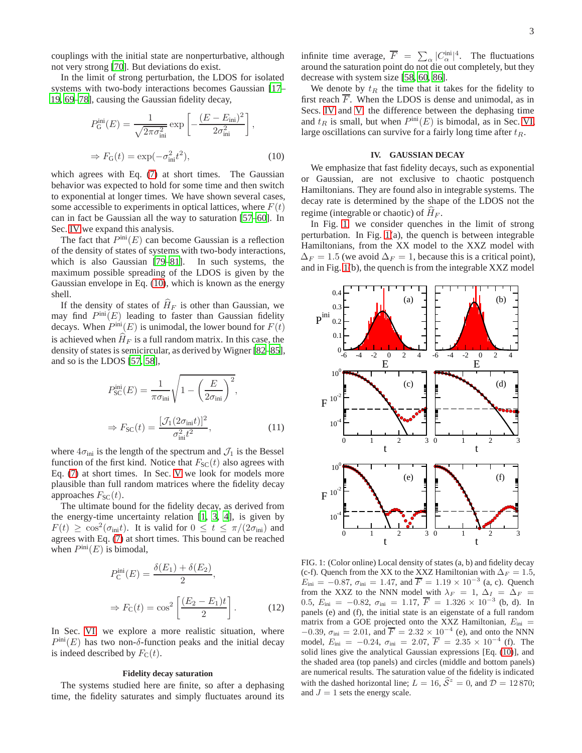couplings with the initial state are nonperturbative, although not very strong [\[70\]](#page-8-14). But deviations do exist.

In the limit of strong perturbation, the LDOS for isolated systems with two-body interactions becomes Gaussian [\[17–](#page-7-9) [19](#page-7-16), [69](#page-8-13)[–78](#page-8-15)], causing the Gaussian fidelity decay,

<span id="page-2-1"></span>
$$
P_{\rm G}^{\rm ini}(E) = \frac{1}{\sqrt{2\pi\sigma_{\rm ini}^2}} \exp\left[-\frac{(E - E_{\rm ini})^2}{2\sigma_{\rm ini}^2}\right],
$$
  

$$
\Rightarrow F_{\rm G}(t) = \exp(-\sigma_{\rm ini}^2 t^2),
$$
 (10)

which agrees with Eq. [\(7\)](#page-1-2) at short times. The Gaussian behavior was expected to hold for some time and then switch to exponential at longer times. We have shown several cases, some accessible to experiments in optical lattices, where  $F(t)$ can in fact be Gaussian all the way to saturation [\[57](#page-8-3)[–60\]](#page-8-4). In Sec. [IV](#page-2-0) we expand this analysis.

The fact that  $P^{\text{ini}}(E)$  can become Gaussian is a reflection of the density of states of systems with two-body interactions, which is also Gaussian [\[79](#page-8-16)[–81\]](#page-8-17). In such systems, the maximum possible spreading of the LDOS is given by the Gaussian envelope in Eq. [\(10\)](#page-2-1), which is known as the energy shell.

If the density of states of  $\widehat{H}_F$  is other than Gaussian, we may find  $P^{\text{ini}}(E)$  leading to faster than Gaussian fidelity decays. When  $P^{\text{ini}}(E)$  is unimodal, the lower bound for  $F(t)$ is achieved when  $\hat{H}_F$  is a full random matrix. In this case, the density of states is semicircular, as derived by Wigner [\[82](#page-8-18)[–85\]](#page-8-19), and so is the LDOS [\[57,](#page-8-3) [58\]](#page-8-20),

<span id="page-2-3"></span>
$$
P_{SC}^{\text{ini}}(E) = \frac{1}{\pi \sigma_{\text{ini}}} \sqrt{1 - \left(\frac{E}{2\sigma_{\text{ini}}}\right)^2},
$$
  

$$
\Rightarrow F_{SC}(t) = \frac{[\mathcal{J}_1(2\sigma_{\text{ini}}t)]^2}{\sigma_{\text{ini}}^2 t^2},
$$
(11)

where  $4\sigma_{\text{ini}}$  is the length of the spectrum and  $\mathcal{J}_1$  is the Bessel function of the first kind. Notice that  $F_{SC}(t)$  also agrees with Eq. [\(7\)](#page-1-2) at short times. In Sec. [V](#page-5-0) we look for models more plausible than full random matrices where the fidelity decay approaches  $F_{SC}(t)$ .

The ultimate bound for the fidelity decay, as derived from the energy-time uncertainty relation [\[1](#page-7-0), [3,](#page-7-17) [4\]](#page-7-18), is given by  $F(t) \geq \cos^2(\sigma_{\text{ini}}t)$ . It is valid for  $0 \leq t \leq \pi/(2\sigma_{\text{ini}})$  and agrees with Eq. [\(7\)](#page-1-2) at short times. This bound can be reached when  $P^{\text{ini}}(E)$  is bimodal,

$$
P_{\rm C}^{\rm ini}(E) = \frac{\delta(E_1) + \delta(E_2)}{2},
$$
  

$$
\Rightarrow F_{\rm C}(t) = \cos^2\left[\frac{(E_2 - E_1)t}{2}\right].
$$
 (12)

In Sec. [VI,](#page-6-0) we explore a more realistic situation, where  $P^{\text{ini}}(E)$  has two non- $\delta$ -function peaks and the initial decay is indeed described by  $F_C(t)$ .

# **Fidelity decay saturation**

The systems studied here are finite, so after a dephasing time, the fidelity saturates and simply fluctuates around its

infinite time average,  $\overline{F} = \sum_{\alpha} |C_{\alpha}^{\text{ini}}|^4$ . The fluctuations around the saturation point do not die out completely, but they decrease with system size [\[58,](#page-8-20) [60](#page-8-4), [86](#page-8-21)].

We denote by  $t_R$  the time that it takes for the fidelity to first reach  $\overline{F}$ . When the LDOS is dense and unimodal, as in Secs. [IV](#page-2-0) and [V,](#page-5-0) the difference between the dephasing time and  $t_R$  is small, but when  $P^{\text{ini}}(E)$  is bimodal, as in Sec. [VI,](#page-6-0) large oscillations can survive for a fairly long time after  $t_R$ .

## **IV. GAUSSIAN DECAY**

<span id="page-2-0"></span>We emphasize that fast fidelity decays, such as exponential or Gaussian, are not exclusive to chaotic postquench Hamiltonians. They are found also in integrable systems. The decay rate is determined by the shape of the LDOS not the regime (integrable or chaotic) of  $H_F$ .

In Fig. [1,](#page-2-2) we consider quenches in the limit of strong perturbation. In Fig. [1\(](#page-2-2)a), the quench is between integrable Hamiltonians, from the XX model to the XXZ model with  $\Delta_F = 1.5$  (we avoid  $\Delta_F = 1$ , because this is a critical point), and in Fig. [1\(](#page-2-2)b), the quench is from the integrable XXZ model



<span id="page-2-2"></span>FIG. 1: (Color online) Local density of states (a, b) and fidelity decay (c-f). Quench from the XX to the XXZ Hamiltonian with  $\Delta_F = 1.5$ ,  $E_{\text{ini}} = -0.87$ ,  $\sigma_{\text{ini}} = 1.47$ , and  $\overline{F} = 1.19 \times 10^{-3}$  (a, c). Quench from the XXZ to the NNN model with  $\lambda_F = 1$ ,  $\Delta_I = \Delta_F =$ 0.5,  $E_{\text{ini}} = -0.82$ ,  $\sigma_{\text{ini}} = 1.17$ ,  $\overline{F} = 1.326 \times 10^{-3}$  (b, d). In panels (e) and (f), the initial state is an eigenstate of a full random matrix from a GOE projected onto the XXZ Hamiltonian,  $E_{\text{ini}}$  =  $-0.39, \sigma_{\text{ini}} = 2.01$ , and  $\overline{F} = 2.32 \times 10^{-4}$  (e), and onto the NNN model,  $E_{\text{ini}} = -0.24$ ,  $\sigma_{\text{ini}} = 2.07$ ,  $\overline{F} = 2.35 \times 10^{-4}$  (f). The solid lines give the analytical Gaussian expressions [Eq. [\(10\)](#page-2-1)], and the shaded area (top panels) and circles (middle and bottom panels) are numerical results. The saturation value of the fidelity is indicated with the dashed horizontal line;  $L = 16$ ,  $\hat{S}^2 = 0$ , and  $\mathcal{D} = 12\,870$ ; and  $J = 1$  sets the energy scale.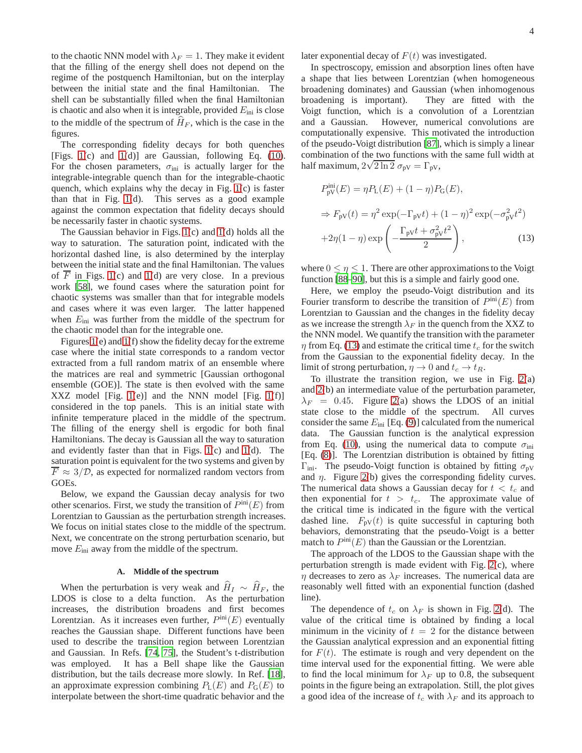to the chaotic NNN model with  $\lambda_F = 1$ . They make it evident that the filling of the energy shell does not depend on the regime of the postquench Hamiltonian, but on the interplay between the initial state and the final Hamiltonian. The shell can be substantially filled when the final Hamiltonian is chaotic and also when it is integrable, provided  $E_{\text{ini}}$  is close to the middle of the spectrum of  $H_F$ , which is the case in the figures.

The corresponding fidelity decays for both quenches [Figs. [1\(](#page-2-2)c) and [1\(](#page-2-2)d)] are Gaussian, following Eq. [\(10\)](#page-2-1). For the chosen parameters,  $\sigma_{\text{ini}}$  is actually larger for the integrable-integrable quench than for the integrable-chaotic quench, which explains why the decay in Fig. [1\(](#page-2-2)c) is faster than that in Fig. [1\(](#page-2-2)d). This serves as a good example against the common expectation that fidelity decays should be necessarily faster in chaotic systems.

The Gaussian behavior in Figs. [1\(](#page-2-2)c) and [1\(](#page-2-2)d) holds all the way to saturation. The saturation point, indicated with the horizontal dashed line, is also determined by the interplay between the initial state and the final Hamiltonian. The values of  $\overline{F}$  in Figs. [1\(](#page-2-2)c) and 1(d) are very close. In a previous work [\[58\]](#page-8-20), we found cases where the saturation point for chaotic systems was smaller than that for integrable models and cases where it was even larger. The latter happened when  $E_{\text{ini}}$  was further from the middle of the spectrum for the chaotic model than for the integrable one.

Figures [1\(](#page-2-2)e) and [1\(](#page-2-2)f) show the fidelity decay for the extreme case where the initial state corresponds to a random vector extracted from a full random matrix of an ensemble where the matrices are real and symmetric [Gaussian orthogonal ensemble (GOE)]. The state is then evolved with the same XXZ model [Fig. [1\(](#page-2-2)e)] and the NNN model [Fig. 1(f)] considered in the top panels. This is an initial state with infinite temperature placed in the middle of the spectrum. The filling of the energy shell is ergodic for both final Hamiltonians. The decay is Gaussian all the way to saturation and evidently faster than that in Figs. [1\(](#page-2-2)c) and [1\(](#page-2-2)d). The saturation point is equivalent for the two systems and given by  $\overline{F} \approx 3/\mathcal{D}$ , as expected for normalized random vectors from GOEs.

Below, we expand the Gaussian decay analysis for two other scenarios. First, we study the transition of  $P^{\text{ini}}(E)$  from Lorentzian to Gaussian as the perturbation strength increases. We focus on initial states close to the middle of the spectrum. Next, we concentrate on the strong perturbation scenario, but move  $E_{\text{ini}}$  away from the middle of the spectrum.

#### **A. Middle of the spectrum**

<span id="page-3-1"></span>When the perturbation is very weak and  $\hat{H}_I \sim \hat{H}_F$ , the LDOS is close to a delta function. As the perturbation increases, the distribution broadens and first becomes Lorentzian. As it increases even further,  $P<sup>ini</sup>(E)$  eventually reaches the Gaussian shape. Different functions have been used to describe the transition region between Lorentzian and Gaussian. In Refs. [\[74,](#page-8-22) [75\]](#page-8-23), the Student's t-distribution was employed. It has a Bell shape like the Gaussian distribution, but the tails decrease more slowly. In Ref. [\[18\]](#page-7-19), an approximate expression combining  $P_L(E)$  and  $P_G(E)$  to interpolate between the short-time quadratic behavior and the later exponential decay of  $F(t)$  was investigated.

In spectroscopy, emission and absorption lines often have a shape that lies between Lorentzian (when homogeneous broadening dominates) and Gaussian (when inhomogenous broadening is important). They are fitted with the Voigt function, which is a convolution of a Lorentzian and a Gaussian. However, numerical convolutions are computationally expensive. This motivated the introduction of the pseudo-Voigt distribution [\[87](#page-8-24)], which is simply a linear combination of the two functions with the same full width at half maximum,  $2\sqrt{2 \ln 2} \sigma_{\text{pV}} = \Gamma_{\text{pV}}$ ,

<span id="page-3-0"></span>
$$
P_{\text{pV}}^{\text{ini}}(E) = \eta P_{\text{L}}(E) + (1 - \eta) P_{\text{G}}(E),
$$
  
\n
$$
\Rightarrow F_{\text{pV}}(t) = \eta^2 \exp(-\Gamma_{\text{pV}}t) + (1 - \eta)^2 \exp(-\sigma_{\text{pV}}^2t^2)
$$
  
\n
$$
+2\eta(1 - \eta) \exp\left(-\frac{\Gamma_{\text{pV}}t + \sigma_{\text{pV}}^2t^2}{2}\right),
$$
\n(13)

where  $0 \le \eta \le 1$ . There are other approximations to the Voigt function [\[88](#page-8-25)[–90\]](#page-8-26), but this is a simple and fairly good one.

Here, we employ the pseudo-Voigt distribution and its Fourier transform to describe the transition of  $P^{\text{ini}}(E)$  from Lorentzian to Gaussian and the changes in the fidelity decay as we increase the strength  $\lambda_F$  in the quench from the XXZ to the NNN model. We quantify the transition with the parameter  $\eta$  from Eq. [\(13\)](#page-3-0) and estimate the critical time  $t_c$  for the switch from the Gaussian to the exponential fidelity decay. In the limit of strong perturbation,  $\eta \to 0$  and  $t_c \to t_R$ .

To illustrate the transition region, we use in Fig.  $2(a)$ and [2\(](#page-4-0)b) an intermediate value of the perturbation parameter,  $\lambda_F = 0.45$ . Figure [2\(](#page-4-0)a) shows the LDOS of an initial state close to the middle of the spectrum. All curves state close to the middle of the spectrum. consider the same  $E_{\text{ini}}$  [Eq. [\(9\)](#page-1-4)] calculated from the numerical data. The Gaussian function is the analytical expression from Eq. [\(10\)](#page-2-1), using the numerical data to compute  $\sigma_{\text{ini}}$ [Eq. [\(8\)](#page-1-5)]. The Lorentzian distribution is obtained by fitting  $\Gamma_{\text{ini}}$ . The pseudo-Voigt function is obtained by fitting  $\sigma_{\text{pV}}$ and  $\eta$ . Figure [2\(](#page-4-0)b) gives the corresponding fidelity curves. The numerical data shows a Gaussian decay for  $t < t_c$  and then exponential for  $t > t_c$ . The approximate value of the critical time is indicated in the figure with the vertical dashed line.  $F_{pV}(t)$  is quite successful in capturing both behaviors, demonstrating that the pseudo-Voigt is a better match to  $P^{\text{ini}}(E)$  than the Gaussian or the Lorentzian.

The approach of the LDOS to the Gaussian shape with the perturbation strength is made evident with Fig. [2\(](#page-4-0)c), where  $\eta$  decreases to zero as  $\lambda_F$  increases. The numerical data are reasonably well fitted with an exponential function (dashed line).

The dependence of  $t_c$  on  $\lambda_F$  is shown in Fig. [2\(](#page-4-0)d). The value of the critical time is obtained by finding a local minimum in the vicinity of  $t = 2$  for the distance between the Gaussian analytical expression and an exponential fitting for  $F(t)$ . The estimate is rough and very dependent on the time interval used for the exponential fitting. We were able to find the local minimum for  $\lambda_F$  up to 0.8, the subsequent points in the figure being an extrapolation. Still, the plot gives a good idea of the increase of  $t_c$  with  $\lambda_F$  and its approach to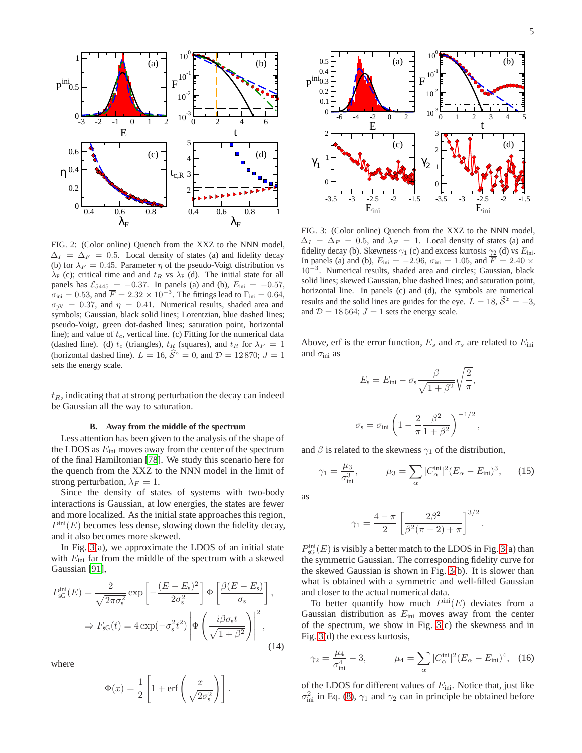

<span id="page-4-0"></span>FIG. 2: (Color online) Quench from the XXZ to the NNN model,  $\Delta_I = \Delta_F = 0.5$ . Local density of states (a) and fidelity decay (b) for  $\lambda_F = 0.45$ . Parameter  $\eta$  of the pseudo-Voigt distribution vs  $\lambda_F$  (c); critical time and and  $t_R$  vs  $\lambda_F$  (d). The initial state for all panels has  $\mathcal{E}_{5445} = -0.37$ . In panels (a) and (b),  $E_{\text{ini}} = -0.57$ ,  $\sigma_{\text{ini}} = 0.53$ , and  $\overline{F} = 2.32 \times 10^{-3}$ . The fittings lead to  $\Gamma_{\text{ini}} = 0.64$ ,  $\sigma_{\text{pV}} = 0.37$ , and  $\eta = 0.41$ . Numerical results, shaded area and symbols; Gaussian, black solid lines; Lorentzian, blue dashed lines; pseudo-Voigt, green dot-dashed lines; saturation point, horizontal line); and value of  $t_c$ , vertical line. (c) Fitting for the numerical data (dashed line). (d)  $t_c$  (triangles),  $t_R$  (squares), and  $t_R$  for  $\lambda_F = 1$ (horizontal dashed line).  $L = 16$ ,  $\hat{S}^z = 0$ , and  $\mathcal{D} = 12870$ ;  $J = 1$ sets the energy scale.

 $t_R$ , indicating that at strong perturbation the decay can indeed be Gaussian all the way to saturation.

#### **B. Away from the middle of the spectrum**

Less attention has been given to the analysis of the shape of the LDOS as  $E_{\text{ini}}$  moves away from the center of the spectrum of the final Hamiltonian [\[78\]](#page-8-15). We study this scenario here for the quench from the XXZ to the NNN model in the limit of strong perturbation,  $\lambda_F = 1$ .

Since the density of states of systems with two-body interactions is Gaussian, at low energies, the states are fewer and more localized. As the initial state approaches this region,  $P^{\text{ini}}(E)$  becomes less dense, slowing down the fidelity decay, and it also becomes more skewed.

In Fig. [3\(](#page-4-1)a), we approximate the LDOS of an initial state with  $E_{\text{ini}}$  far from the middle of the spectrum with a skewed Gaussian [\[91](#page-8-27)],

$$
P_{\text{sG}}^{\text{ini}}(E) = \frac{2}{\sqrt{2\pi\sigma_s^2}} \exp\left[-\frac{(E - E_s)^2}{2\sigma_s^2}\right] \Phi\left[\frac{\beta(E - E_s)}{\sigma_s}\right],
$$

$$
\Rightarrow F_{\text{sG}}(t) = 4 \exp(-\sigma_s^2 t^2) \left|\Phi\left(\frac{i\beta\sigma_s t}{\sqrt{1 + \beta^2}}\right)\right|^2,
$$
(14)

where

$$
\Phi(x) = \frac{1}{2} \left[ 1 + \text{erf}\left(\frac{x}{\sqrt{2\sigma_s^2}}\right) \right].
$$



<span id="page-4-1"></span>FIG. 3: (Color online) Quench from the XXZ to the NNN model,  $\Delta_I = \Delta_F = 0.5$ , and  $\lambda_F = 1$ . Local density of states (a) and fidelity decay (b). Skewness  $\gamma_1$  (c) and excess kurtosis  $\gamma_2$  (d) vs  $E_{\text{ini}}$ . In panels (a) and (b),  $E_{\text{ini}} = -2.96$ ,  $\sigma_{\text{ini}} = 1.05$ , and  $\overline{F} = 2.40 \times$ 10<sup>-3</sup>. Numerical results, shaded area and circles; Gaussian, black solid lines; skewed Gaussian, blue dashed lines; and saturation point, horizontal line. In panels (c) and (d), the symbols are numerical results and the solid lines are guides for the eye.  $L = 18$ ,  $\hat{S}^z = -3$ , and  $D = 18564$ ;  $J = 1$  sets the energy scale.

Above, erf is the error function,  $E_s$  and  $\sigma_s$  are related to  $E_{\text{ini}}$ and  $\sigma_{\text{ini}}$  as

$$
E_{\rm s} = E_{\rm ini} - \sigma_{\rm s} \frac{\beta}{\sqrt{1 + \beta^2}} \sqrt{\frac{2}{\pi}},
$$

$$
\sigma_{\rm s} = \sigma_{\rm ini} \left( 1 - \frac{2}{\pi} \frac{\beta^2}{1 + \beta^2} \right)^{-1/2},
$$

and  $\beta$  is related to the skewness  $\gamma_1$  of the distribution,

$$
\gamma_1 = \frac{\mu_3}{\sigma_{\text{ini}}^3},
$$
\n $\mu_3 = \sum_{\alpha} |C_{\alpha}^{\text{ini}}|^2 (E_{\alpha} - E_{\text{ini}})^3,$ \n(15)

.

as

$$
\gamma_1 = \frac{4 - \pi}{2} \left[ \frac{2\beta^2}{\beta^2(\pi - 2) + \pi} \right]^{3/2}
$$

 $P_{\rm sG}^{\rm ini}(E)$  is visibly a better match to the LDOS in Fig. [3\(](#page-4-1)a) than the symmetric Gaussian. The corresponding fidelity curve for the skewed Gaussian is shown in Fig. [3\(](#page-4-1)b). It is slower than what is obtained with a symmetric and well-filled Gaussian and closer to the actual numerical data.

To better quantify how much  $P^{\text{ini}}(E)$  deviates from a Gaussian distribution as  $E_{\text{ini}}$  moves away from the center of the spectrum, we show in Fig. [3\(](#page-4-1)c) the skewness and in Fig. [3\(](#page-4-1)d) the excess kurtosis,

$$
\gamma_2 = \frac{\mu_4}{\sigma_{\text{ini}}^4} - 3, \qquad \mu_4 = \sum_{\alpha} |C_{\alpha}^{\text{ini}}|^2 (E_{\alpha} - E_{\text{ini}})^4, \quad (16)
$$

of the LDOS for different values of  $E_{\text{ini}}$ . Notice that, just like  $\sigma_{\text{ini}}^2$  in Eq. [\(8\)](#page-1-5),  $\gamma_1$  and  $\gamma_2$  can in principle be obtained before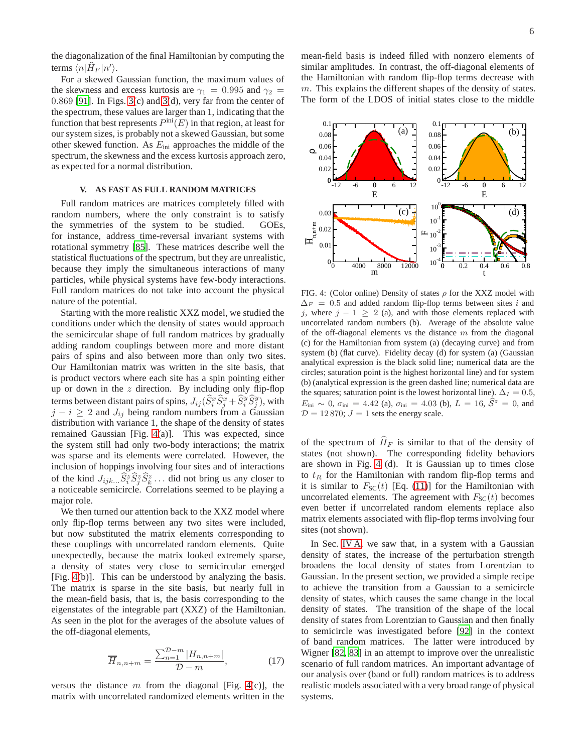the diagonalization of the final Hamiltonian by computing the terms  $\langle n|\hat{H}_F |n'\rangle$ .

For a skewed Gaussian function, the maximum values of the skewness and excess kurtosis are  $\gamma_1 = 0.995$  and  $\gamma_2 =$ 0.869 [\[91\]](#page-8-27). In Figs. [3\(](#page-4-1)c) and [3\(](#page-4-1)d), very far from the center of the spectrum, these values are larger than 1, indicating that the function that best represents  $P^{\text{ini}}(E)$  in that region, at least for our system sizes, is probably not a skewed Gaussian, but some other skewed function. As  $E_{\text{ini}}$  approaches the middle of the spectrum, the skewness and the excess kurtosis approach zero, as expected for a normal distribution.

# **V. AS FAST AS FULL RANDOM MATRICES**

<span id="page-5-0"></span>Full random matrices are matrices completely filled with random numbers, where the only constraint is to satisfy the symmetries of the system to be studied. GOEs, for instance, address time-reversal invariant systems with rotational symmetry [\[85\]](#page-8-19). These matrices describe well the statistical fluctuations of the spectrum, but they are unrealistic, because they imply the simultaneous interactions of many particles, while physical systems have few-body interactions. Full random matrices do not take into account the physical nature of the potential.

Starting with the more realistic XXZ model, we studied the conditions under which the density of states would approach the semicircular shape of full random matrices by gradually adding random couplings between more and more distant pairs of spins and also between more than only two sites. Our Hamiltonian matrix was written in the site basis, that is product vectors where each site has a spin pointing either up or down in the  $z$  direction. By including only flip-flop terms between distant pairs of spins,  $J_{ij}(\widehat{S}_i^x\widehat{S}_j^x+\widehat{S}_i^y\widehat{S}_j^y),$  with  $j - i \geq 2$  and  $J_{ij}$  being random numbers from a Gaussian distribution with variance 1, the shape of the density of states remained Gaussian [Fig. [4\(](#page-5-1)a)]. This was expected, since the system still had only two-body interactions; the matrix was sparse and its elements were correlated. However, the inclusion of hoppings involving four sites and of interactions of the kind  $J_{ijk...} \hat{S}_i^z \hat{S}_j^z \hat{S}_k^z \dots$  did not bring us any closer to a noticeable semicircle. Correlations seemed to be playing a major role.

We then turned our attention back to the XXZ model where only flip-flop terms between any two sites were included, but now substituted the matrix elements corresponding to these couplings with uncorrelated random elements. Quite unexpectedly, because the matrix looked extremely sparse, a density of states very close to semicircular emerged [Fig. [4\(](#page-5-1)b)]. This can be understood by analyzing the basis. The matrix is sparse in the site basis, but nearly full in the mean-field basis, that is, the basis corresponding to the eigenstates of the integrable part (XXZ) of the Hamiltonian. As seen in the plot for the averages of the absolute values of the off-diagonal elements,

$$
\overline{H}_{n,n+m} = \frac{\sum_{n=1}^{D-m} |H_{n,n+m}|}{D-m},
$$
\n(17)

versus the distance m from the diagonal [Fig. [4\(](#page-5-1)c)], the matrix with uncorrelated randomized elements written in the mean-field basis is indeed filled with nonzero elements of similar amplitudes. In contrast, the off-diagonal elements of the Hamiltonian with random flip-flop terms decrease with m. This explains the different shapes of the density of states. The form of the LDOS of initial states close to the middle



<span id="page-5-1"></span>FIG. 4: (Color online) Density of states  $\rho$  for the XXZ model with  $\Delta_F = 0.5$  and added random flip-flop terms between sites i and j, where  $j - 1 \geq 2$  (a), and with those elements replaced with uncorrelated random numbers (b). Average of the absolute value of the off-diagonal elements vs the distance  $m$  from the diagonal (c) for the Hamiltonian from system (a) (decaying curve) and from system (b) (flat curve). Fidelity decay (d) for system (a) (Gaussian analytical expression is the black solid line; numerical data are the circles; saturation point is the highest horizontal line) and for system (b) (analytical expression is the green dashed line; numerical data are the squares; saturation point is the lowest horizontal line).  $\Delta_I = 0.5$ ,  $E_{\text{ini}} \sim 0$ ,  $\sigma_{\text{ini}} = 4.42$  (a),  $\sigma_{\text{ini}} = 4.03$  (b),  $L = 16$ ,  $\hat{S}^z = 0$ , and  $D = 12870$ ;  $J = 1$  sets the energy scale.

of the spectrum of  $\hat{H}_F$  is similar to that of the density of states (not shown). The corresponding fidelity behaviors are shown in Fig. [4](#page-5-1) (d). It is Gaussian up to times close to  $t_R$  for the Hamiltonian with random flip-flop terms and it is similar to  $F_{SC}(t)$  [Eq. [\(11\)](#page-2-3)] for the Hamiltonian with uncorrelated elements. The agreement with  $F_{SC}(t)$  becomes even better if uncorrelated random elements replace also matrix elements associated with flip-flop terms involving four sites (not shown).

In Sec. [IV A,](#page-3-1) we saw that, in a system with a Gaussian density of states, the increase of the perturbation strength broadens the local density of states from Lorentzian to Gaussian. In the present section, we provided a simple recipe to achieve the transition from a Gaussian to a semicircle density of states, which causes the same change in the local density of states. The transition of the shape of the local density of states from Lorentzian to Gaussian and then finally to semicircle was investigated before [\[92\]](#page-8-28) in the context of band random matrices. The latter were introduced by Wigner [\[82](#page-8-18), [83\]](#page-8-29) in an attempt to improve over the unrealistic scenario of full random matrices. An important advantage of our analysis over (band or full) random matrices is to address realistic models associated with a very broad range of physical systems.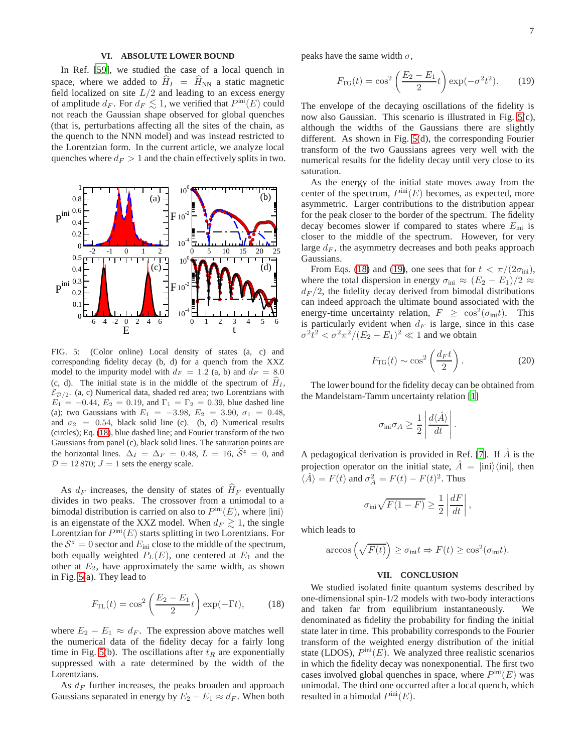# **VI. ABSOLUTE LOWER BOUND**

<span id="page-6-0"></span>In Ref. [\[59\]](#page-8-6), we studied the case of a local quench in space, where we added to  $\hat{H}_I = \hat{H}_{NN}$  a static magnetic field localized on site  $L/2$  and leading to an excess energy of amplitude  $d_F$ . For  $d_F \lesssim 1$ , we verified that  $P^{\text{ini}}(E)$  could not reach the Gaussian shape observed for global quenches (that is, perturbations affecting all the sites of the chain, as the quench to the NNN model) and was instead restricted to the Lorentzian form. In the current article, we analyze local quenches where  $d_F > 1$  and the chain effectively splits in two.



<span id="page-6-3"></span>FIG. 5: (Color online) Local density of states (a, c) and corresponding fidelity decay (b, d) for a quench from the XXZ model to the impurity model with  $d_F = 1.2$  (a, b) and  $d_F = 8.0$ (c, d). The initial state is in the middle of the spectrum of  $\hat{H}_I$ ,  $\mathcal{E}_{\mathcal{D}/2}$ . (a, c) Numerical data, shaded red area; two Lorentzians with  $E_1 = -0.44, E_2 = 0.19,$  and  $\Gamma_1 = \Gamma_2 = 0.39$ , blue dashed line (a); two Gaussians with  $E_1 = -3.98, E_2 = 3.90, \sigma_1 = 0.48,$ and  $\sigma_2 = 0.54$ , black solid line (c). (b, d) Numerical results (circles); Eq. [\(18\)](#page-6-2), blue dashed line; and Fourier transform of the two Gaussians from panel (c), black solid lines. The saturation points are the horizontal lines.  $\Delta_I = \Delta_F = 0.48$ ,  $L = 16$ ,  $\hat{S}^z = 0$ , and  $D = 12870$ ;  $J = 1$  sets the energy scale.

As  $d_F$  increases, the density of states of  $\hat{H}_F$  eventually divides in two peaks. The crossover from a unimodal to a bimodal distribution is carried on also to  $P^{\text{ini}}(E)$ , where  $|\text{ini}\rangle$ is an eigenstate of the XXZ model. When  $d_F \gtrsim 1$ , the single Lorentzian for  $P^{\text{ini}}(E)$  starts splitting in two Lorentzians. For the  $S^z = 0$  sector and  $E_{\text{ini}}$  close to the middle of the spectrum, both equally weighted  $P_L(E)$ , one centered at  $E_1$  and the other at  $E_2$ , have approximately the same width, as shown in Fig. [5\(](#page-6-3)a). They lead to

<span id="page-6-2"></span>
$$
F_{\rm TL}(t) = \cos^2\left(\frac{E_2 - E_1}{2}t\right) \exp(-\Gamma t),\tag{18}
$$

where  $E_2 - E_1 \approx d_F$ . The expression above matches well the numerical data of the fidelity decay for a fairly long time in Fig. [5\(](#page-6-3)b). The oscillations after  $t_R$  are exponentially suppressed with a rate determined by the width of the Lorentzians.

As  $d_F$  further increases, the peaks broaden and approach Gaussians separated in energy by  $E_2 - E_1 \approx d_F$ . When both

peaks have the same width  $\sigma$ ,

<span id="page-6-4"></span>
$$
F_{\rm TG}(t) = \cos^2\left(\frac{E_2 - E_1}{2}t\right) \exp(-\sigma^2 t^2). \tag{19}
$$

The envelope of the decaying oscillations of the fidelity is now also Gaussian. This scenario is illustrated in Fig. [5\(](#page-6-3)c), although the widths of the Gaussians there are slightly different. As shown in Fig. [5\(](#page-6-3)d), the corresponding Fourier transform of the two Gaussians agrees very well with the numerical results for the fidelity decay until very close to its saturation.

As the energy of the initial state moves away from the center of the spectrum,  $P^{\text{ini}}(E)$  becomes, as expected, more asymmetric. Larger contributions to the distribution appear for the peak closer to the border of the spectrum. The fidelity decay becomes slower if compared to states where  $E_{\text{ini}}$  is closer to the middle of the spectrum. However, for very large  $d_F$ , the asymmetry decreases and both peaks approach Gaussians.

From Eqs. [\(18\)](#page-6-2) and [\(19\)](#page-6-4), one sees that for  $t < \pi/(2\sigma_{\text{ini}})$ , where the total dispersion in energy  $\sigma_{\text{ini}} \approx (E_2 - E_1)/2 \approx$  $d_F/2$ , the fidelity decay derived from bimodal distributions can indeed approach the ultimate bound associated with the energy-time uncertainty relation,  $F \ge \cos^2(\sigma_{\text{ini}}t)$ . This is particularly evident when  $d_F$  is large, since in this case  $\sigma^2 t^2 < \sigma^2 \pi^2 / (E_2 - E_1)^2 \ll 1$  and we obtain

$$
F_{\rm TG}(t) \sim \cos^2\left(\frac{d_F t}{2}\right). \tag{20}
$$

The lower bound for the fidelity decay can be obtained from the Mandelstam-Tamm uncertainty relation [\[1\]](#page-7-0)

$$
\sigma_{\text{ini}} \sigma_A \geq \frac{1}{2} \left| \frac{d \langle \hat{A} \rangle}{dt} \right|.
$$

A pedagogical derivation is provided in Ref. [\[7\]](#page-7-15). If  $\overline{A}$  is the projection operator on the initial state,  $A = |ini\rangle\langle ini|$ , then  $\langle \hat{A} \rangle = F(t)$  and  $\sigma_A^2 = F(t) - F(t)^2$ . Thus

$$
\sigma_{\text{ini}}\sqrt{F(1-F)} \ge \frac{1}{2} \left| \frac{dF}{dt} \right|,
$$

which leads to

$$
\arccos\left(\sqrt{F(t)}\right) \ge \sigma_{\text{ini}} t \Rightarrow F(t) \ge \cos^2(\sigma_{\text{ini}} t).
$$

# **VII. CONCLUSION**

<span id="page-6-1"></span>We studied isolated finite quantum systems described by one-dimensional spin-1/2 models with two-body interactions and taken far from equilibrium instantaneously. We denominated as fidelity the probability for finding the initial state later in time. This probability corresponds to the Fourier transform of the weighted energy distribution of the initial state (LDOS),  $P^{\text{ini}}(E)$ . We analyzed three realistic scenarios in which the fidelity decay was nonexponential. The first two cases involved global quenches in space, where  $P^{\text{ini}}(E)$  was unimodal. The third one occurred after a local quench, which resulted in a bimodal  $P^{\text{ini}}(E)$ .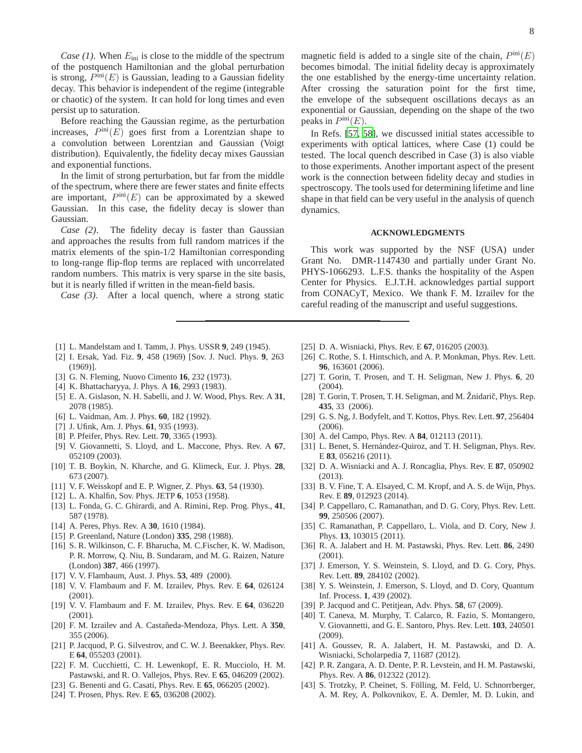*Case (1)*. When  $E_{\text{ini}}$  is close to the middle of the spectrum of the postquench Hamiltonian and the global perturbation is strong,  $P^{\text{ini}}(E)$  is Gaussian, leading to a Gaussian fidelity decay. This behavior is independent of the regime (integrable or chaotic) of the system. It can hold for long times and even persist up to saturation.

Before reaching the Gaussian regime, as the perturbation increases,  $P^{\text{ini}}(E)$  goes first from a Lorentzian shape to a convolution between Lorentzian and Gaussian (Voigt distribution). Equivalently, the fidelity decay mixes Gaussian and exponential functions.

In the limit of strong perturbation, but far from the middle of the spectrum, where there are fewer states and finite effects are important,  $P^{\text{ini}}(E)$  can be approximated by a skewed Gaussian. In this case, the fidelity decay is slower than Gaussian.

*Case (2)*. The fidelity decay is faster than Gaussian and approaches the results from full random matrices if the matrix elements of the spin-1/2 Hamiltonian corresponding to long-range flip-flop terms are replaced with uncorrelated random numbers. This matrix is very sparse in the site basis, but it is nearly filled if written in the mean-field basis.

*Case (3)*. After a local quench, where a strong static

8

becomes bimodal. The initial fidelity decay is approximately the one established by the energy-time uncertainty relation. After crossing the saturation point for the first time, the envelope of the subsequent oscillations decays as an exponential or Gaussian, depending on the shape of the two peaks in  $P^{\text{ini}}(E)$ .

In Refs. [\[57](#page-8-3), [58](#page-8-20)], we discussed initial states accessible to experiments with optical lattices, where Case (1) could be tested. The local quench described in Case (3) is also viable to those experiments. Another important aspect of the present work is the connection between fidelity decay and studies in spectroscopy. The tools used for determining lifetime and line shape in that field can be very useful in the analysis of quench dynamics.

## **ACKNOWLEDGMENTS**

This work was supported by the NSF (USA) under Grant No. DMR-1147430 and partially under Grant No. PHYS-1066293. L.F.S. thanks the hospitality of the Aspen Center for Physics. E.J.T.H. acknowledges partial support from CONACyT, Mexico. We thank F. M. Izrailev for the careful reading of the manuscript and useful suggestions.

- <span id="page-7-0"></span>[1] L. Mandelstam and I. Tamm, J. Phys. USSR **9**, 249 (1945).
- [2] I. Ersak, Yad. Fiz. **9**, 458 (1969) [Sov. J. Nucl. Phys. **9**, 263 (1969)].
- <span id="page-7-17"></span>[3] G. N. Fleming, Nuovo Cimento **16**, 232 (1973).
- <span id="page-7-18"></span>[4] K. Bhattacharyya, J. Phys. A **16**, 2993 (1983).
- [5] E. A. Gislason, N. H. Sabelli, and J. W. Wood, Phys. Rev. A **31**, 2078 (1985).
- [6] L. Vaidman, Am. J. Phys. **60**, 182 (1992).
- <span id="page-7-15"></span>[7] J. Ufink, Am. J. Phys. **61**, 935 (1993).
- [8] P. Pfeifer, Phys. Rev. Lett. **70**, 3365 (1993).
- [9] V. Giovannetti, S. Lloyd, and L. Maccone, Phys. Rev. A **67**, 052109 (2003).
- <span id="page-7-1"></span>[10] T. B. Boykin, N. Kharche, and G. Klimeck, Eur. J. Phys. **28**, 673 (2007).
- <span id="page-7-2"></span>[11] V. F. Weisskopf and E. P. Wigner, Z. Phys. **63**, 54 (1930).
- <span id="page-7-8"></span>[12] L. A. Khalfin, Sov. Phys. JETP **6**, 1053 (1958).
- <span id="page-7-7"></span>[13] L. Fonda, G. C. Ghirardi, and A. Rimini, Rep. Prog. Phys., **41**, 587 (1978).
- [14] A. Peres, Phys. Rev. A **30**, 1610 (1984).
- <span id="page-7-12"></span>[15] P. Greenland, Nature (London) **335**, 298 (1988).
- [16] S. R. Wilkinson, C. F. Bharucha, M. C.Fischer, K. W. Madison, P. R. Morrow, Q. Niu, B. Sundaram, and M. G. Raizen, Nature (London) **387**, 466 (1997).
- <span id="page-7-9"></span>[17] V. V. Flambaum, Aust. J. Phys. **53**, 489 (2000).
- <span id="page-7-19"></span>[18] V. V. Flambaum and F. M. Izrailev, Phys. Rev. E **64**, 026124 (2001).
- <span id="page-7-16"></span>[19] V. V. Flambaum and F. M. Izrailev, Phys. Rev. E **64**, 036220 (2001).
- <span id="page-7-10"></span>[20] F. M. Izrailev and A. Castañeda-Mendoza, Phys. Lett. A 350, 355 (2006).
- [21] P. Jacquod, P. G. Silvestrov, and C. W. J. Beenakker, Phys. Rev. E **64**, 055203 (2001).
- [22] F. M. Cucchietti, C. H. Lewenkopf, E. R. Mucciolo, H. M. Pastawski, and R. O. Vallejos, Phys. Rev. E **65**, 046209 (2002).
- [23] G. Benenti and G. Casati, Phys. Rev. E **65**, 066205 (2002).
- [24] T. Prosen, Phys. Rev. E **65**, 036208 (2002).
- <span id="page-7-11"></span>[25] D. A. Wisniacki, Phys. Rev. E **67**, 016205 (2003).
- <span id="page-7-13"></span>[26] C. Rothe, S. I. Hintschich, and A. P. Monkman, Phys. Rev. Lett. **96**, 163601 (2006).
- [27] T. Gorin, T. Prosen, and T. H. Seligman, New J. Phys. **6**, 20 (2004).
- [28] T. Gorin, T. Prosen, T. H. Seligman, and M. Žnidarič, Phys. Rep. **435**, 33 (2006).
- [29] G. S. Ng, J. Bodyfelt, and T. Kottos, Phys. Rev. Lett. **97**, 256404 (2006).
- <span id="page-7-14"></span>[30] A. del Campo, Phys. Rev. A **84**, 012113 (2011).
- [31] L. Benet, S. Hernández-Quiroz, and T. H. Seligman, Phys. Rev. E **83**, 056216 (2011).
- [32] D. A. Wisniacki and A. J. Roncaglia, Phys. Rev. E **87**, 050902 (2013).
- <span id="page-7-3"></span>[33] B. V. Fine, T. A. Elsayed, C. M. Kropf, and A. S. de Wijn, Phys. Rev. E **89**, 012923 (2014).
- <span id="page-7-4"></span>[34] P. Cappellaro, C. Ramanathan, and D. G. Cory, Phys. Rev. Lett. **99**, 250506 (2007).
- [35] C. Ramanathan, P. Cappellaro, L. Viola, and D. Cory, New J. Phys. **13**, 103015 (2011).
- [36] R. A. Jalabert and H. M. Pastawski, Phys. Rev. Lett. **86**, 2490 (2001).
- [37] J. Emerson, Y. S. Weinstein, S. Lloyd, and D. G. Cory, Phys. Rev. Lett. **89**, 284102 (2002).
- [38] Y. S. Weinstein, J. Emerson, S. Lloyd, and D. Cory, Quantum Inf. Process. **1**, 439 (2002).
- [39] P. Jacquod and C. Petitjean, Adv. Phys. **58**, 67 (2009).
- [40] T. Caneva, M. Murphy, T. Calarco, R. Fazio, S. Montangero, V. Giovannetti, and G. E. Santoro, Phys. Rev. Lett. **103**, 240501  $(2009)$ .
- [41] A. Goussev, R. A. Jalabert, H. M. Pastawski, and D. A. Wisniacki, Scholarpedia **7**, 11687 (2012).
- <span id="page-7-5"></span>[42] P. R. Zangara, A. D. Dente, P. R. Levstein, and H. M. Pastawski, Phys. Rev. A **86**, 012322 (2012).
- <span id="page-7-6"></span>[43] S. Trotzky, P. Cheinet, S. Fölling, M. Feld, U. Schnorrberger, A. M. Rey, A. Polkovnikov, E. A. Demler, M. D. Lukin, and